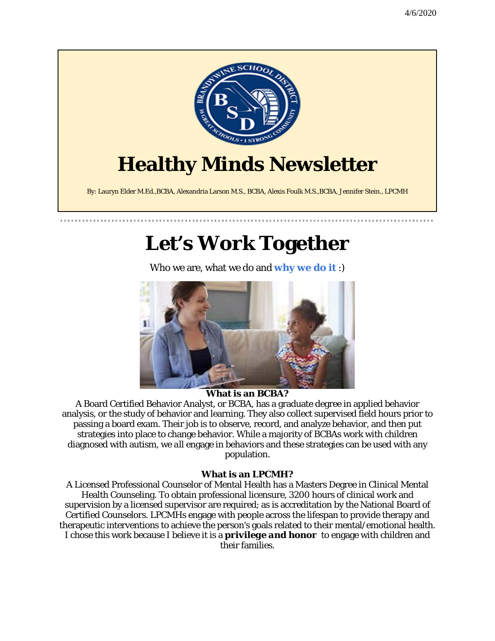

## **Let's Work Together**

Who we are, what we do and **why we do it** :)



### **What is an BCBA?**

A Board Certified Behavior Analyst, or BCBA, has a graduate degree in applied behavior analysis, or the study of behavior and learning. They also collect supervised field hours prior to passing a board exam. Their job is to observe, record, and analyze behavior, and then put strategies into place to change behavior. While a majority of BCBAs work with children diagnosed with autism, we *all* engage in behaviors and these strategies can be used with any population.

#### **What is an LPCMH?**

A Licensed Professional Counselor of Mental Health has a Masters Degree in Clinical Mental Health Counseling. To obtain professional licensure, 3200 hours of clinical work and supervision by a licensed supervisor are required; as is accreditation by the National Board of Certified Counselors. LPCMHs engage with people across the lifespan to provide therapy and therapeutic interventions to achieve the person's goals related to their mental/emotional health. I chose this work because I believe it is a *privilege and honor* to engage with children and their families.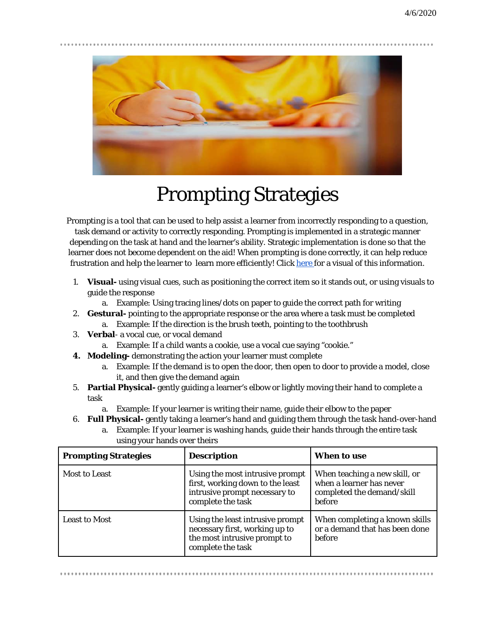

## Prompting Strategies

Prompting is a tool that can be used to help assist a learner from incorrectly responding to a question, task demand or activity to correctly responding. Prompting is implemented in a strategic manner depending on the task at hand and the learner's ability. Strategic implementation is done so that the learner does not become dependent on the aid! When prompting is done correctly, it can help reduce frustration and help the learner to learn more efficiently! Clic[k here f](https://accessibleaba.com/blog/prompt-hierarchy)or a visual of this information.

- 1. **Visual-** using visual cues, such as positioning the correct item so it stands out, or using visuals to guide the response
	- a. Example: Using tracing lines/dots on paper to guide the correct path for writing
- 2. **Gestural-** pointing to the appropriate response or the area where a task must be completed
	- a. Example: If the direction is the brush teeth, pointing to the toothbrush
- 3. **Verbal** a vocal cue, or vocal demand
	- a. Example: If a child wants a cookie, use a vocal cue saying "cookie."
- **4. Modeling-** demonstrating the action your learner must complete
	- a. Example: If the demand is to open the door, then open to door to provide a model, close it, and then give the demand again
- 5. **Partial Physical-** gently guiding a learner's elbow or lightly moving their hand to complete a task
	- a. Example: If your learner is writing their name, guide their elbow to the paper
- 6. **Full Physical-** gently taking a learner's hand and guiding them through the task hand-over-hand
	- a. Example: If your learner is washing hands, guide their hands through the entire task using your hands over theirs

| <b>Prompting Strategies</b> | <b>Description</b>                                                                                                        | When to use                                                                                              |
|-----------------------------|---------------------------------------------------------------------------------------------------------------------------|----------------------------------------------------------------------------------------------------------|
| <b>Most to Least</b>        | Using the most intrusive prompt<br>first, working down to the least<br>intrusive prompt necessary to<br>complete the task | When teaching a new skill, or<br>when a learner has never<br>completed the demand/skill<br><b>before</b> |
| <b>Least to Most</b>        | Using the least intrusive prompt<br>necessary first, working up to<br>the most intrusive prompt to<br>complete the task   | When completing a known skills<br>or a demand that has been done<br><b>before</b>                        |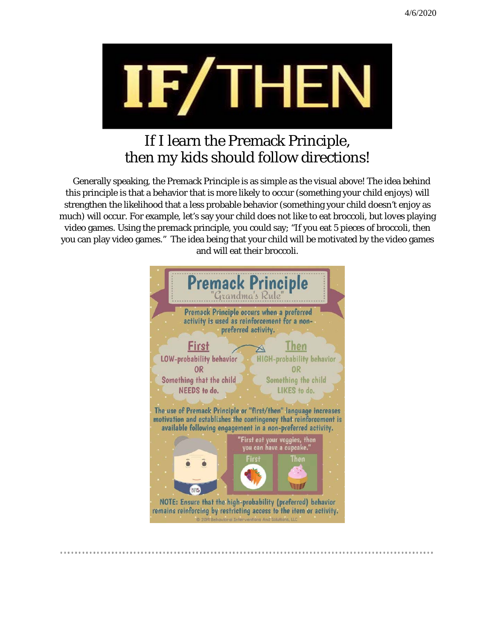

### If I learn the Premack Principle, then my kids should follow directions!

 Generally speaking, the Premack Principle is as simple as the visual above! The idea behind this principle is that a behavior that is more likely to occur (something your child enjoys) will strengthen the likelihood that a less probable behavior (something your child doesn't enjoy as much) will occur. For example, let's say your child does not like to eat broccoli, but *loves* playing video games. Using the premack principle, you could say; "If you eat 5 pieces of broccoli, then you can play video games." The idea being that your child will be motivated by the video games and will eat their broccoli.

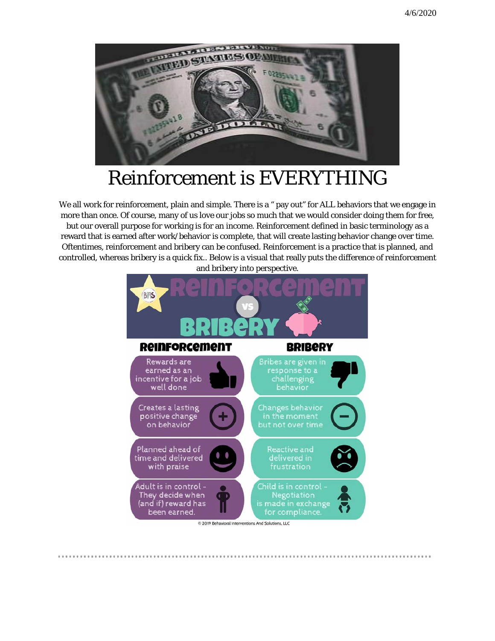

### Reinforcement is *EVERYTHING*

We all work for reinforcement, plain and simple. There is a " pay out" for ALL behaviors that we engage in more than once. Of course, many of us love our jobs so much that we would consider doing them for free, but our overall purpose for working is for an income. Reinforcement defined in basic terminology as a reward that is earned after work/behavior is complete, that will create lasting behavior change over time. Oftentimes, reinforcement and bribery can be confused. Reinforcement is a practice that is planned, and controlled, whereas bribery is a quick fix.. Below is a visual that really puts the difference of reinforcement and bribery into perspective.



...............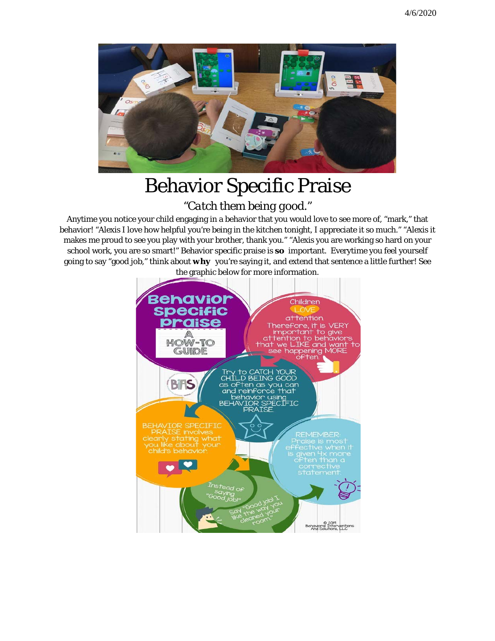

### Behavior Specific Praise

### *"Catch them being good."*

Anytime you notice your child engaging in a behavior that you would love to see more of, "mark," that behavior! "Alexis I love how helpful you're being in the kitchen tonight, I appreciate it so much." "Alexis it makes me proud to see you play with your brother, thank you." "Alexis you are working so hard on your school work, you are so smart!" Behavior specific praise is *so* important. Everytime you feel yourself going to say "good job," think about *why* you're saying it, and extend that sentence a little further! See



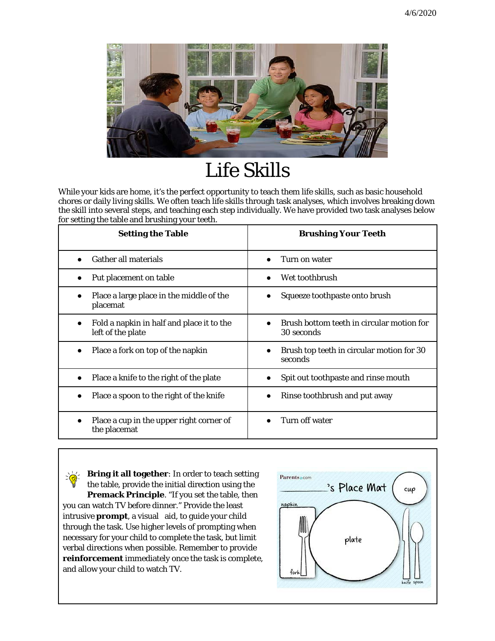

## Life Skills

While your kids are home, it's the perfect opportunity to teach them life skills, such as basic household chores or daily living skills. We often teach life skills through task analyses, which involves breaking down the skill into several steps, and teaching each step individually. We have provided two task analyses below for setting the table and brushing your teeth.

| <b>Setting the Table</b>                                       | <b>Brushing Your Teeth</b>                              |
|----------------------------------------------------------------|---------------------------------------------------------|
| <b>Gather all materials</b>                                    | Turn on water<br>$\bullet$                              |
| Put placement on table                                         | Wet toothbrush                                          |
| Place a large place in the middle of the<br>placemat           | Squeeze toothpaste onto brush                           |
| Fold a napkin in half and place it to the<br>left of the plate | Brush bottom teeth in circular motion for<br>30 seconds |
| Place a fork on top of the napkin                              | Brush top teeth in circular motion for 30<br>seconds    |
| Place a knife to the right of the plate                        | Spit out toothpaste and rinse mouth                     |
| Place a spoon to the right of the knife                        | Rinse toothbrush and put away                           |
| Place a cup in the upper right corner of<br>the placemat       | Turn off water                                          |

**Bring it all together**: In order to teach setting the table, provide the initial direction using the **Premack Principle**. "If you set the table, then you can watch TV before dinner." Provide the least intrusive **prompt**, a visual aid, to guide your child through the task. Use higher levels of prompting when necessary for your child to complete the task, but limit verbal directions when possible. Remember to provide **reinforcement** immediately once the task is complete, and allow your child to watch TV.

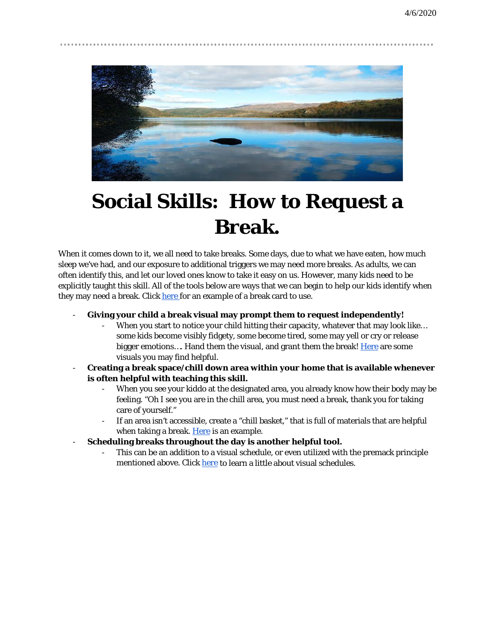

# **Social Skills: How to Request a Break.**

When it comes down to it, we all need to take breaks. Some days, due to what we have eaten, how much sleep we've had, and our exposure to additional triggers we may need more breaks. As adults, we can often identify this, and let our loved ones know to take it easy on us. However, many kids need to be explicitly taught this skill. All of the tools below are ways that we can begin to help our kids identify when they may need a break. Click [here f](https://www.teacherspayteachers.com/Product/FREE-I-Need-A-Break-Cards-2695412?utm_source=pinterest%20collab&utm_campaign=break%20cards%20freebie)or an example of a break card to use.

#### - **Giving your child a break visual may prompt them to request independently!**

- When you start to notice your child hitting their capacity, whatever that may look like... some kids become visibly fidgety, some become tired, some may yell or cry or release bigger emotions.... Hand them the visual, and grant them the break! [Here](https://mrswintersbliss.com/teaching-self-discipline-responding-to-misbehavior/) are some visuals you may find helpful.
- **Creating a break space/chill down area within your home that is available whenever is often helpful with teaching this skill.**
	- When you see your kiddo at the designated area, you already know how their body may be feeling. "Oh I see you are in the chill area, you must need a break, thank you for taking care of yourself."
	- If an area isn't accessible, create a "chill basket," that is full of materials that are helpful when taking a break. [Here](https://www.time4kindergarten.com/2019/06/creating-break-bin.html) is an example.
- **Scheduling breaks throughout the day is another helpful tool.** 
	- This can be an addition to a visual schedule, or even utilized with the premack principle mentioned above. Clic[k here](https://do2learn.com/picturecards/VisualSchedules/index.htm) to learn a little about visual schedules.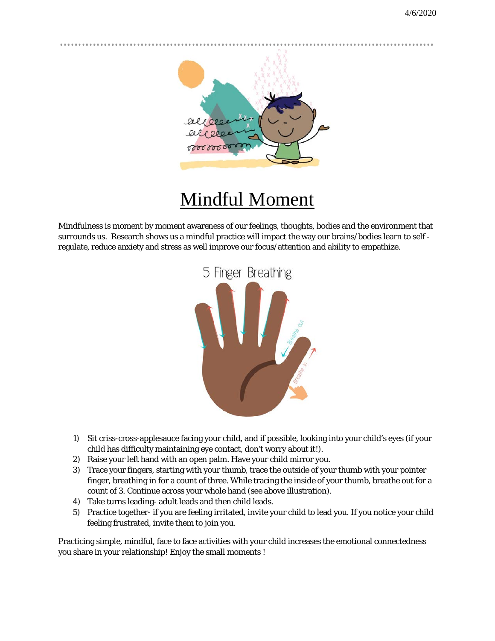

## Mindful Moment

Mindfulness is moment by moment awareness of our feelings, thoughts, bodies and the environment that surrounds us. Research shows us a mindful practice will impact the way our brains/bodies learn to self regulate, reduce anxiety and stress as well improve our focus/attention and ability to empathize.



- 1) Sit criss-cross-applesauce facing your child, and if possible, looking into your child's eyes (if your child has difficulty maintaining eye contact, don't worry about it!).
- 2) Raise your left hand with an open palm. Have your child mirror you.
- 3) Trace your fingers, starting with your thumb, trace the outside of your thumb with your pointer finger, breathing in for a count of three. While tracing the inside of your thumb, breathe out for a count of 3. Continue across your whole hand (see above illustration).
- 4) Take turns leading- adult leads and then child leads.
- 5) Practice together- if you are feeling irritated, invite your child to lead you. If you notice your child feeling frustrated, invite them to join you.

Practicing simple, mindful, face to face activities with your child increases the emotional connectedness you share in your relationship! Enjoy the small moments !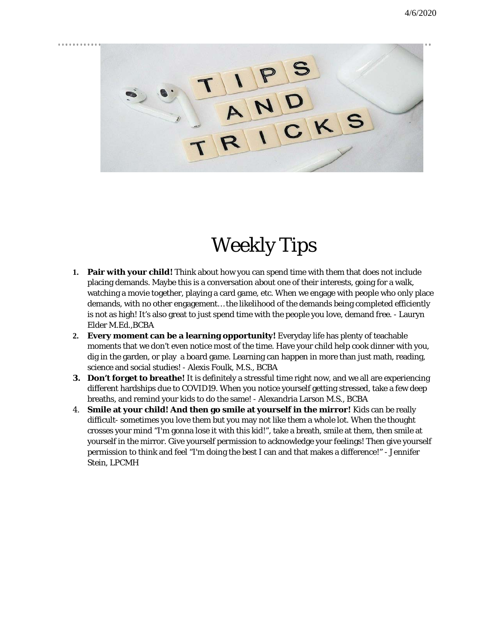

# Weekly Tips

- **1. Pair with your child!** Think about how you can spend time with them that does not include placing demands. Maybe this is a conversation about one of their interests, going for a walk, watching a movie together, playing a card game, etc. When we engage with people who only place demands, with no other engagement… the likelihood of the demands being completed efficiently is not as high! It's also great to just spend time with the people you love, demand free. - Lauryn Elder M.Ed.,BCBA
- **2. Every moment can be a learning opportunity!** Everyday life has plenty of teachable moments that we don't even notice most of the time. Have your child help cook dinner with you, dig in the garden, or play a board game. Learning can happen in more than just math, reading, science and social studies! - Alexis Foulk, M.S., BCBA
- **3. Don't forget to breathe!** It is definitely a stressful time right now, and we all are experiencing different hardships due to COVID19. When you notice yourself getting stressed, take a few deep breaths, and remind your kids to do the same! - Alexandria Larson M.S., BCBA
- 4. **Smile at your child! And then go smile at yourself in the mirror!** Kids can be really difficult- sometimes you love them but you may not like them a whole lot. When the thought crosses your mind "I'm gonna lose it with this kid!", take a breath, smile at them, then smile at yourself in the mirror. Give yourself permission to acknowledge your feelings! Then give yourself permission to think and feel "I'm doing the best I can and that makes a difference!" - Jennifer Stein, LPCMH